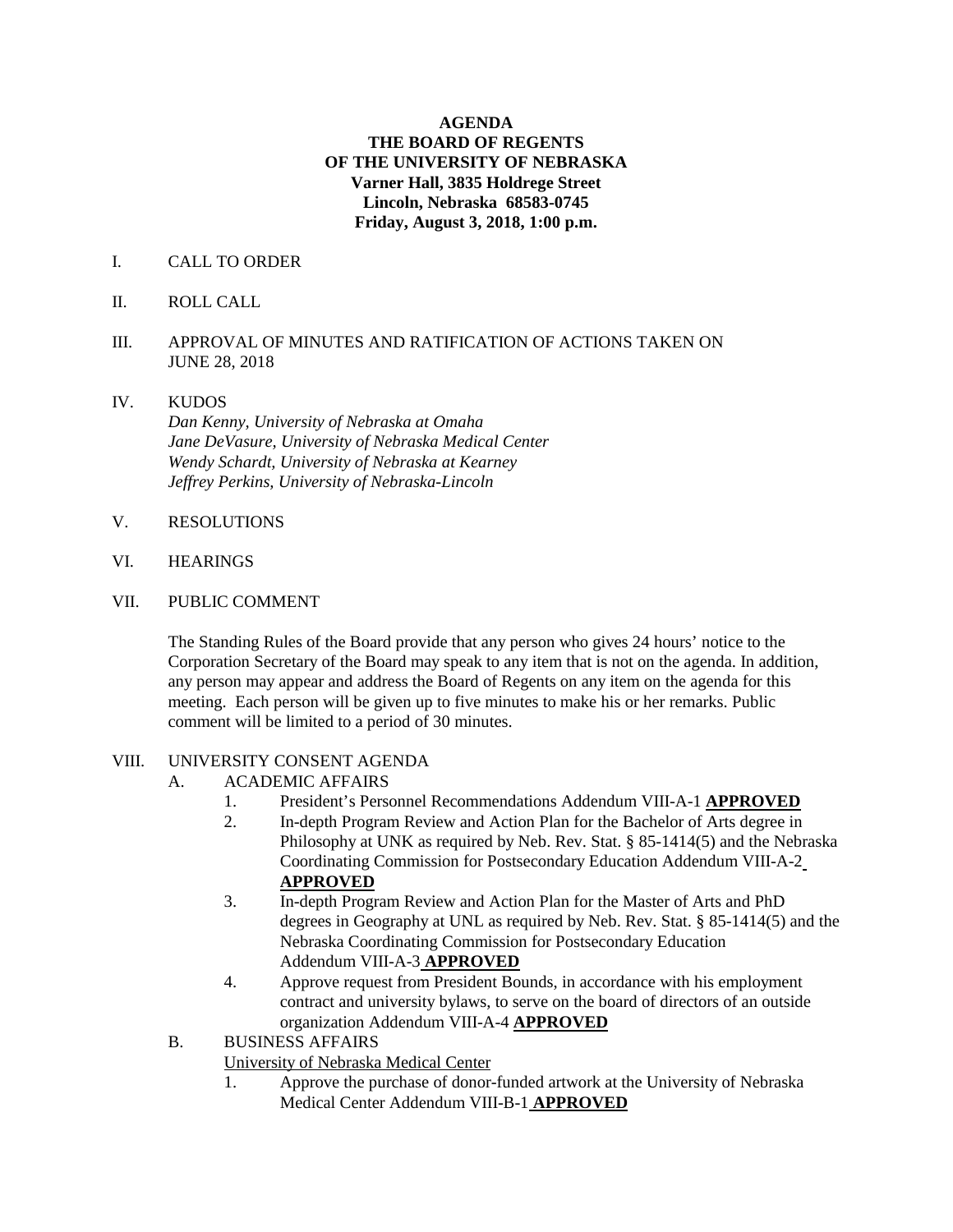### **AGENDA THE BOARD OF REGENTS OF THE UNIVERSITY OF NEBRASKA Varner Hall, 3835 Holdrege Street Lincoln, Nebraska 68583-0745 Friday, August 3, 2018, 1:00 p.m.**

- I. CALL TO ORDER
- II. ROLL CALL
- III. APPROVAL OF MINUTES AND RATIFICATION OF ACTIONS TAKEN ON JUNE 28, 2018
- IV. KUDOS

*Dan Kenny, University of Nebraska at Omaha Jane DeVasure, University of Nebraska Medical Center Wendy Schardt, University of Nebraska at Kearney Jeffrey Perkins, University of Nebraska-Lincoln*

- V. RESOLUTIONS
- VI. HEARINGS
- VII. PUBLIC COMMENT

The Standing Rules of the Board provide that any person who gives 24 hours' notice to the Corporation Secretary of the Board may speak to any item that is not on the agenda. In addition, any person may appear and address the Board of Regents on any item on the agenda for this meeting. Each person will be given up to five minutes to make his or her remarks. Public comment will be limited to a period of 30 minutes.

#### VIII. UNIVERSITY CONSENT AGENDA

- A. ACADEMIC AFFAIRS
	- 1. President's Personnel Recommendations Addendum VIII-A-1 **APPROVED**
	- 2. In-depth Program Review and Action Plan for the Bachelor of Arts degree in Philosophy at UNK as required by Neb. Rev. Stat. § 85-1414(5) and the Nebraska Coordinating Commission for Postsecondary Education Addendum VIII-A-2 **APPROVED**
	- 3. In-depth Program Review and Action Plan for the Master of Arts and PhD degrees in Geography at UNL as required by Neb. Rev. Stat. § 85-1414(5) and the Nebraska Coordinating Commission for Postsecondary Education Addendum VIII-A-3 **APPROVED**
	- 4. Approve request from President Bounds, in accordance with his employment contract and university bylaws, to serve on the board of directors of an outside organization Addendum VIII-A-4 **APPROVED**

#### B. BUSINESS AFFAIRS

University of Nebraska Medical Center

1. Approve the purchase of donor-funded artwork at the University of Nebraska Medical Center Addendum VIII-B-1 **APPROVED**